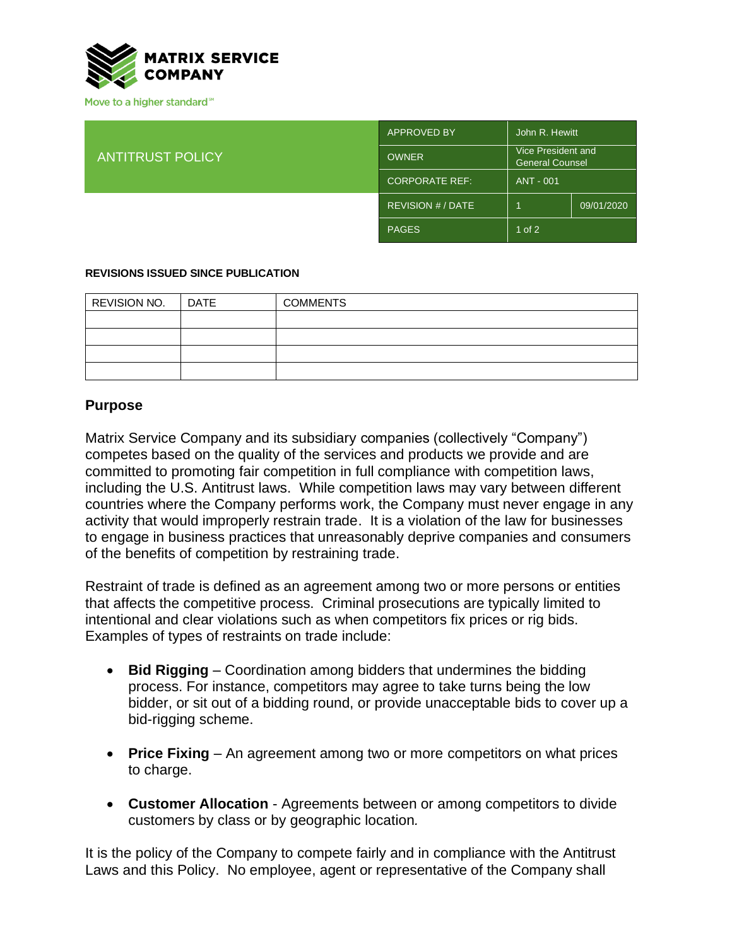

Move to a higher standard<sup>™</sup>

ANTITRUST POLICY

|  | <b>APPROVED BY</b>     | John R. Hewitt                               |            |
|--|------------------------|----------------------------------------------|------------|
|  | <b>OWNER</b>           | Vice President and<br><b>General Counsel</b> |            |
|  | <b>CORPORATE REF:</b>  | ANT - 001                                    |            |
|  | <b>REVISION #/DATE</b> |                                              | 09/01/2020 |
|  | <b>PAGES</b>           | 1 of $2$                                     |            |

## **REVISIONS ISSUED SINCE PUBLICATION**

| REVISION NO. | <b>DATE</b> | <b>COMMENTS</b> |
|--------------|-------------|-----------------|
|              |             |                 |
|              |             |                 |
|              |             |                 |
|              |             |                 |

## **Purpose**

Matrix Service Company and its subsidiary companies (collectively "Company") competes based on the quality of the services and products we provide and are committed to promoting fair competition in full compliance with competition laws, including the U.S. Antitrust laws. While competition laws may vary between different countries where the Company performs work, the Company must never engage in any activity that would improperly restrain trade. It is a violation of the law for businesses to engage in business practices that unreasonably deprive companies and consumers of the benefits of competition by restraining trade.

Restraint of trade is defined as an agreement among two or more persons or entities that affects the competitive process. Criminal prosecutions are typically limited to intentional and clear violations such as when competitors fix prices or rig bids. Examples of types of restraints on trade include:

- **Bid Rigging** Coordination among bidders that undermines the bidding process. For instance, competitors may agree to take turns being the low bidder, or sit out of a bidding round, or provide unacceptable bids to cover up a bid-rigging scheme.
- **Price Fixing** An agreement among two or more competitors on what prices to charge.
- **Customer Allocation** Agreements between or among competitors to divide customers by class or by geographic location*.*

It is the policy of the Company to compete fairly and in compliance with the Antitrust Laws and this Policy. No employee, agent or representative of the Company shall